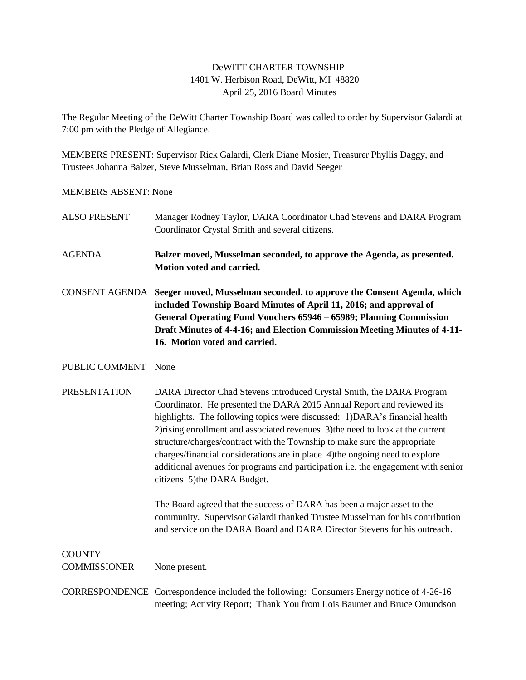## DeWITT CHARTER TOWNSHIP 1401 W. Herbison Road, DeWitt, MI 48820 April 25, 2016 Board Minutes

The Regular Meeting of the DeWitt Charter Township Board was called to order by Supervisor Galardi at 7:00 pm with the Pledge of Allegiance.

MEMBERS PRESENT: Supervisor Rick Galardi, Clerk Diane Mosier, Treasurer Phyllis Daggy, and Trustees Johanna Balzer, Steve Musselman, Brian Ross and David Seeger

MEMBERS ABSENT: None

| <b>ALSO PRESENT</b>                  | Manager Rodney Taylor, DARA Coordinator Chad Stevens and DARA Program<br>Coordinator Crystal Smith and several citizens.                                                                                                                                                                                                                                                                                                                                                                                                                                                                           |
|--------------------------------------|----------------------------------------------------------------------------------------------------------------------------------------------------------------------------------------------------------------------------------------------------------------------------------------------------------------------------------------------------------------------------------------------------------------------------------------------------------------------------------------------------------------------------------------------------------------------------------------------------|
| <b>AGENDA</b>                        | Balzer moved, Musselman seconded, to approve the Agenda, as presented.<br>Motion voted and carried.                                                                                                                                                                                                                                                                                                                                                                                                                                                                                                |
|                                      | CONSENT AGENDA Seeger moved, Musselman seconded, to approve the Consent Agenda, which<br>included Township Board Minutes of April 11, 2016; and approval of<br>General Operating Fund Vouchers 65946 - 65989; Planning Commission<br>Draft Minutes of 4-4-16; and Election Commission Meeting Minutes of 4-11-<br>16. Motion voted and carried.                                                                                                                                                                                                                                                    |
| PUBLIC COMMENT                       | None                                                                                                                                                                                                                                                                                                                                                                                                                                                                                                                                                                                               |
| <b>PRESENTATION</b>                  | DARA Director Chad Stevens introduced Crystal Smith, the DARA Program<br>Coordinator. He presented the DARA 2015 Annual Report and reviewed its<br>highlights. The following topics were discussed: 1)DARA's financial health<br>2) rising enrollment and associated revenues 3) the need to look at the current<br>structure/charges/contract with the Township to make sure the appropriate<br>charges/financial considerations are in place 4) the ongoing need to explore<br>additional avenues for programs and participation i.e. the engagement with senior<br>citizens 5) the DARA Budget. |
|                                      | The Board agreed that the success of DARA has been a major asset to the<br>community. Supervisor Galardi thanked Trustee Musselman for his contribution<br>and service on the DARA Board and DARA Director Stevens for his outreach.                                                                                                                                                                                                                                                                                                                                                               |
| <b>COUNTY</b><br><b>COMMISSIONER</b> | None present.                                                                                                                                                                                                                                                                                                                                                                                                                                                                                                                                                                                      |
|                                      | CORRESPONDENCE Correspondence included the following: Consumers Energy notice of 4-26-16<br>meeting; Activity Report; Thank You from Lois Baumer and Bruce Omundson                                                                                                                                                                                                                                                                                                                                                                                                                                |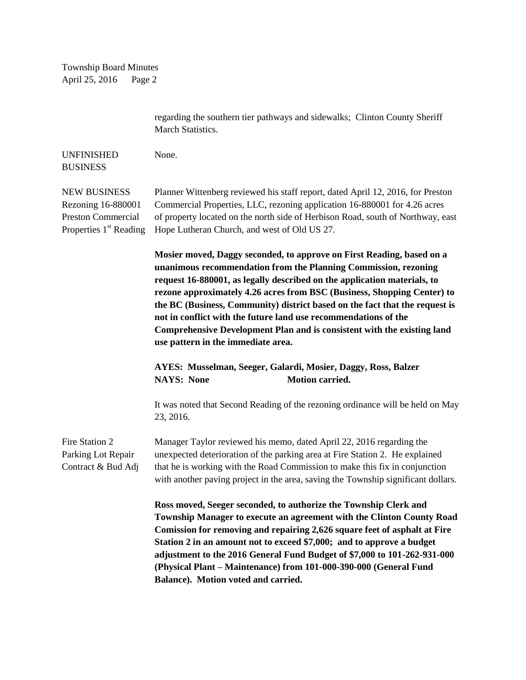Township Board Minutes April 25, 2016 Page 2

|                                                                                                              | regarding the southern tier pathways and sidewalks; Clinton County Sheriff<br>March Statistics.                                                                                                                                                                                                                                                                                                                                                                                                                                                                    |
|--------------------------------------------------------------------------------------------------------------|--------------------------------------------------------------------------------------------------------------------------------------------------------------------------------------------------------------------------------------------------------------------------------------------------------------------------------------------------------------------------------------------------------------------------------------------------------------------------------------------------------------------------------------------------------------------|
| <b>UNFINISHED</b><br><b>BUSINESS</b>                                                                         | None.                                                                                                                                                                                                                                                                                                                                                                                                                                                                                                                                                              |
| <b>NEW BUSINESS</b><br>Rezoning 16-880001<br><b>Preston Commercial</b><br>Properties 1 <sup>st</sup> Reading | Planner Wittenberg reviewed his staff report, dated April 12, 2016, for Preston<br>Commercial Properties, LLC, rezoning application 16-880001 for 4.26 acres<br>of property located on the north side of Herbison Road, south of Northway, east<br>Hope Lutheran Church, and west of Old US 27.                                                                                                                                                                                                                                                                    |
|                                                                                                              | Mosier moved, Daggy seconded, to approve on First Reading, based on a<br>unanimous recommendation from the Planning Commission, rezoning<br>request 16-880001, as legally described on the application materials, to<br>rezone approximately 4.26 acres from BSC (Business, Shopping Center) to<br>the BC (Business, Community) district based on the fact that the request is<br>not in conflict with the future land use recommendations of the<br>Comprehensive Development Plan and is consistent with the existing land<br>use pattern in the immediate area. |
|                                                                                                              | AYES: Musselman, Seeger, Galardi, Mosier, Daggy, Ross, Balzer<br><b>Motion carried.</b><br><b>NAYS: None</b>                                                                                                                                                                                                                                                                                                                                                                                                                                                       |
|                                                                                                              | It was noted that Second Reading of the rezoning ordinance will be held on May<br>23, 2016.                                                                                                                                                                                                                                                                                                                                                                                                                                                                        |
| Fire Station 2<br>Parking Lot Repair<br>Contract & Bud Adj                                                   | Manager Taylor reviewed his memo, dated April 22, 2016 regarding the<br>unexpected deterioration of the parking area at Fire Station 2. He explained<br>that he is working with the Road Commission to make this fix in conjunction<br>with another paving project in the area, saving the Township significant dollars.                                                                                                                                                                                                                                           |
|                                                                                                              | Ross moved, Seeger seconded, to authorize the Township Clerk and<br>Township Manager to execute an agreement with the Clinton County Road<br>Comission for removing and repairing 2,626 square feet of asphalt at Fire<br>Station 2 in an amount not to exceed \$7,000; and to approve a budget<br>adjustment to the 2016 General Fund Budget of \$7,000 to 101-262-931-000<br>(Physical Plant - Maintenance) from 101-000-390-000 (General Fund<br>Balance). Motion voted and carried.                                                                            |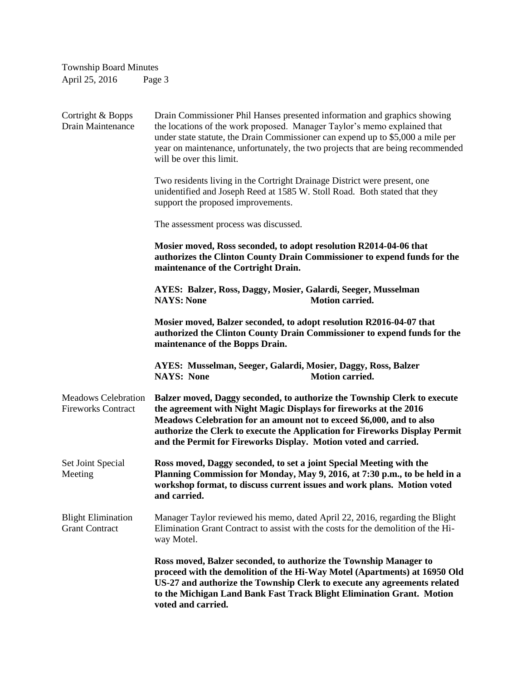| <b>Township Board Minutes</b>                           |                                                                                                                                                                                                                                                                                                                                                                         |  |
|---------------------------------------------------------|-------------------------------------------------------------------------------------------------------------------------------------------------------------------------------------------------------------------------------------------------------------------------------------------------------------------------------------------------------------------------|--|
| April 25, 2016                                          | Page 3                                                                                                                                                                                                                                                                                                                                                                  |  |
|                                                         |                                                                                                                                                                                                                                                                                                                                                                         |  |
| Cortright & Bopps<br><b>Drain Maintenance</b>           | Drain Commissioner Phil Hanses presented information and graphics showing<br>the locations of the work proposed. Manager Taylor's memo explained that<br>under state statute, the Drain Commissioner can expend up to \$5,000 a mile per<br>year on maintenance, unfortunately, the two projects that are being recommended<br>will be over this limit.                 |  |
|                                                         | Two residents living in the Cortright Drainage District were present, one<br>unidentified and Joseph Reed at 1585 W. Stoll Road. Both stated that they<br>support the proposed improvements.                                                                                                                                                                            |  |
|                                                         | The assessment process was discussed.                                                                                                                                                                                                                                                                                                                                   |  |
|                                                         | Mosier moved, Ross seconded, to adopt resolution R2014-04-06 that<br>authorizes the Clinton County Drain Commissioner to expend funds for the<br>maintenance of the Cortright Drain.                                                                                                                                                                                    |  |
|                                                         | AYES: Balzer, Ross, Daggy, Mosier, Galardi, Seeger, Musselman<br><b>NAYS: None</b><br><b>Motion carried.</b>                                                                                                                                                                                                                                                            |  |
|                                                         | Mosier moved, Balzer seconded, to adopt resolution R2016-04-07 that<br>authorized the Clinton County Drain Commissioner to expend funds for the<br>maintenance of the Bopps Drain.                                                                                                                                                                                      |  |
|                                                         | AYES: Musselman, Seeger, Galardi, Mosier, Daggy, Ross, Balzer<br><b>NAYS: None</b><br><b>Motion carried.</b>                                                                                                                                                                                                                                                            |  |
| <b>Meadows Celebration</b><br><b>Fireworks Contract</b> | Balzer moved, Daggy seconded, to authorize the Township Clerk to execute<br>the agreement with Night Magic Displays for fireworks at the 2016<br>Meadows Celebration for an amount not to exceed \$6,000, and to also<br>authorize the Clerk to execute the Application for Fireworks Display Permit<br>and the Permit for Fireworks Display. Motion voted and carried. |  |
| Set Joint Special<br>Meeting                            | Ross moved, Daggy seconded, to set a joint Special Meeting with the<br>Planning Commission for Monday, May 9, 2016, at 7:30 p.m., to be held in a<br>workshop format, to discuss current issues and work plans. Motion voted<br>and carried.                                                                                                                            |  |
| <b>Blight Elimination</b><br><b>Grant Contract</b>      | Manager Taylor reviewed his memo, dated April 22, 2016, regarding the Blight<br>Elimination Grant Contract to assist with the costs for the demolition of the Hi-<br>way Motel.                                                                                                                                                                                         |  |
|                                                         | Ross moved, Balzer seconded, to authorize the Township Manager to<br>proceed with the demolition of the Hi-Way Motel (Apartments) at 16950 Old<br>US-27 and authorize the Township Clerk to execute any agreements related<br>to the Michigan Land Bank Fast Track Blight Elimination Grant. Motion<br>voted and carried.                                               |  |